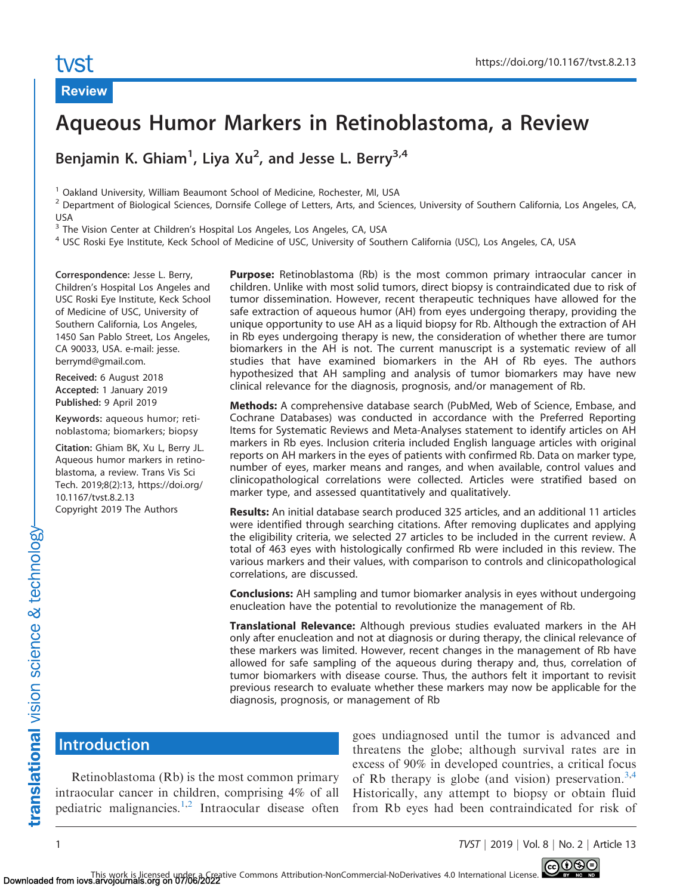# tyst

Review

# Aqueous Humor Markers in Retinoblastoma, a Review

Benjamin K. Ghiam<sup>1</sup>, Liya Xu<sup>2</sup>, and Jesse L. Berry<sup>3,4</sup>

<sup>1</sup> Oakland University, William Beaumont School of Medicine, Rochester, MI, USA

<sup>2</sup> Department of Biological Sciences, Dornsife College of Letters, Arts, and Sciences, University of Southern California, Los Angeles, CA, USA

<sup>3</sup> The Vision Center at Children's Hospital Los Angeles, Los Angeles, CA, USA

<sup>4</sup> USC Roski Eye Institute, Keck School of Medicine of USC, University of Southern California (USC), Los Angeles, CA, USA

Correspondence: Jesse L. Berry, Children's Hospital Los Angeles and USC Roski Eye Institute, Keck School of Medicine of USC, University of Southern California, Los Angeles, 1450 San Pablo Street, Los Angeles, CA 90033, USA. e-mail: jesse. berrymd@gmail.com.

Received: 6 August 2018 Accepted: 1 January 2019 Published: 9 April 2019

Keywords: aqueous humor; retinoblastoma; biomarkers; biopsy

Citation: Ghiam BK, Xu L, Berry JL. Aqueous humor markers in retinoblastoma, a review. Trans Vis Sci Tech. 2019;8(2):13, https://doi.org/ 10.1167/tvst.8.2.13 Copyright 2019 The Authors

Purpose: Retinoblastoma (Rb) is the most common primary intraocular cancer in children. Unlike with most solid tumors, direct biopsy is contraindicated due to risk of tumor dissemination. However, recent therapeutic techniques have allowed for the safe extraction of aqueous humor (AH) from eyes undergoing therapy, providing the unique opportunity to use AH as a liquid biopsy for Rb. Although the extraction of AH in Rb eyes undergoing therapy is new, the consideration of whether there are tumor biomarkers in the AH is not. The current manuscript is a systematic review of all studies that have examined biomarkers in the AH of Rb eyes. The authors hypothesized that AH sampling and analysis of tumor biomarkers may have new clinical relevance for the diagnosis, prognosis, and/or management of Rb.

Methods: A comprehensive database search (PubMed, Web of Science, Embase, and Cochrane Databases) was conducted in accordance with the Preferred Reporting Items for Systematic Reviews and Meta-Analyses statement to identify articles on AH markers in Rb eyes. Inclusion criteria included English language articles with original reports on AH markers in the eyes of patients with confirmed Rb. Data on marker type, number of eyes, marker means and ranges, and when available, control values and clinicopathological correlations were collected. Articles were stratified based on marker type, and assessed quantitatively and qualitatively.

Results: An initial database search produced 325 articles, and an additional 11 articles were identified through searching citations. After removing duplicates and applying the eligibility criteria, we selected 27 articles to be included in the current review. A total of 463 eyes with histologically confirmed Rb were included in this review. The various markers and their values, with comparison to controls and clinicopathological correlations, are discussed.

**Conclusions:** AH sampling and tumor biomarker analysis in eyes without undergoing enucleation have the potential to revolutionize the management of Rb.

Translational Relevance: Although previous studies evaluated markers in the AH only after enucleation and not at diagnosis or during therapy, the clinical relevance of these markers was limited. However, recent changes in the management of Rb have allowed for safe sampling of the aqueous during therapy and, thus, correlation of tumor biomarkers with disease course. Thus, the authors felt it important to revisit previous research to evaluate whether these markers may now be applicable for the diagnosis, prognosis, or management of Rb

# **Introduction**

Retinoblastoma (Rb) is the most common primary intraocular cancer in children, comprising 4% of all pediatric malignancies.<sup>[1,2](#page-11-0)</sup> Intraocular disease often

goes undiagnosed until the tumor is advanced and threatens the globe; although survival rates are in excess of 90% in developed countries, a critical focus of Rb therapy is globe (and vision) preservation.<sup>[3,4](#page-11-0)</sup> Historically, any attempt to biopsy or obtain fluid from Rb eyes had been contraindicated for risk of

1 TVST j 2019 j Vol. 8 j No. 2 j Article 13

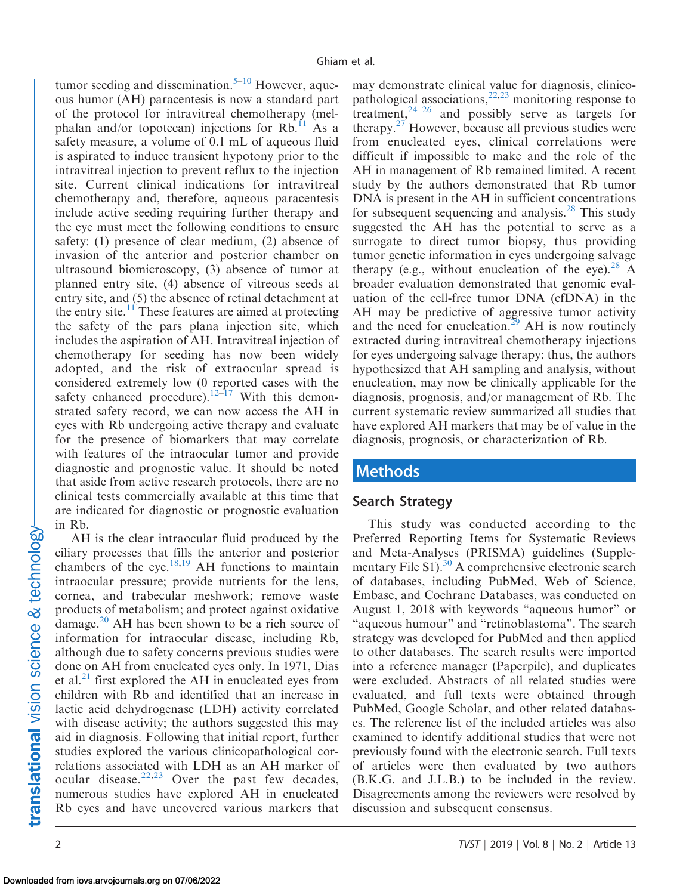tumor seeding and dissemination.<sup>5–10</sup> However, aqueous humor (AH) paracentesis is now a standard part of the protocol for intravitreal chemotherapy (melphalan and/or topotecan) injections for  $Rb$ <sup>[11](#page-11-0)</sup> As a safety measure, a volume of 0.1 mL of aqueous fluid is aspirated to induce transient hypotony prior to the intravitreal injection to prevent reflux to the injection site. Current clinical indications for intravitreal chemotherapy and, therefore, aqueous paracentesis include active seeding requiring further therapy and the eye must meet the following conditions to ensure safety: (1) presence of clear medium, (2) absence of invasion of the anterior and posterior chamber on ultrasound biomicroscopy, (3) absence of tumor at planned entry site, (4) absence of vitreous seeds at entry site, and (5) the absence of retinal detachment at the entry site.<sup>[11](#page-11-0)</sup> These features are aimed at protecting the safety of the pars plana injection site, which includes the aspiration of AH. Intravitreal injection of chemotherapy for seeding has now been widely adopted, and the risk of extraocular spread is considered extremely low (0 reported cases with the safety enhanced procedure).<sup>[12–](#page-11-0)[17](#page-12-0)</sup> With this demonstrated safety record, we can now access the AH in eyes with Rb undergoing active therapy and evaluate for the presence of biomarkers that may correlate with features of the intraocular tumor and provide diagnostic and prognostic value. It should be noted that aside from active research protocols, there are no clinical tests commercially available at this time that are indicated for diagnostic or prognostic evaluation in Rb.

AH is the clear intraocular fluid produced by the ciliary processes that fills the anterior and posterior chambers of the eye.<sup>[18,19](#page-12-0)</sup> AH functions to maintain intraocular pressure; provide nutrients for the lens, cornea, and trabecular meshwork; remove waste products of metabolism; and protect against oxidative damage.<sup>20</sup> AH has been shown to be a rich source of information for intraocular disease, including Rb, although due to safety concerns previous studies were done on AH from enucleated eyes only. In 1971, Dias et al. $^{21}$  first explored the AH in enucleated eyes from children with Rb and identified that an increase in lactic acid dehydrogenase (LDH) activity correlated with disease activity; the authors suggested this may aid in diagnosis. Following that initial report, further studies explored the various clinicopathological correlations associated with LDH as an AH marker of ocular disease.<sup>[22,23](#page-12-0)</sup> Over the past few decades, numerous studies have explored AH in enucleated Rb eyes and have uncovered various markers that

may demonstrate clinical value for diagnosis, clinicopathological associations,  $22,23$  $22,23$  monitoring response to treatment,  $2^{4-26}$  $2^{4-26}$  $2^{4-26}$  and possibly serve as targets for therapy. $27$  However, because all previous studies were from enucleated eyes, clinical correlations were difficult if impossible to make and the role of the AH in management of Rb remained limited. A recent study by the authors demonstrated that Rb tumor DNA is present in the AH in sufficient concentrations for subsequent sequencing and analysis.<sup>28</sup> This study suggested the AH has the potential to serve as a surrogate to direct tumor biopsy, thus providing tumor genetic information in eyes undergoing salvage therapy (e.g., without enucleation of the eye).<sup>[28](#page-12-0)</sup> A broader evaluation demonstrated that genomic evaluation of the cell-free tumor DNA (cfDNA) in the AH may be predictive of aggressive tumor activity and the need for enucleation.<sup>29</sup> AH is now routinely extracted during intravitreal chemotherapy injections for eyes undergoing salvage therapy; thus, the authors hypothesized that AH sampling and analysis, without enucleation, may now be clinically applicable for the diagnosis, prognosis, and/or management of Rb. The current systematic review summarized all studies that have explored AH markers that may be of value in the diagnosis, prognosis, or characterization of Rb.

# Methods

# Search Strategy

This study was conducted according to the Preferred Reporting Items for Systematic Reviews and Meta-Analyses (PRISMA) guidelines (Supple-mentary File S1).<sup>[30](#page-12-0)</sup> A comprehensive electronic search of databases, including PubMed, Web of Science, Embase, and Cochrane Databases, was conducted on August 1, 2018 with keywords ''aqueous humor'' or "aqueous humour" and "retinoblastoma". The search strategy was developed for PubMed and then applied to other databases. The search results were imported into a reference manager (Paperpile), and duplicates were excluded. Abstracts of all related studies were evaluated, and full texts were obtained through PubMed, Google Scholar, and other related databases. The reference list of the included articles was also examined to identify additional studies that were not previously found with the electronic search. Full texts of articles were then evaluated by two authors (B.K.G. and J.L.B.) to be included in the review. Disagreements among the reviewers were resolved by discussion and subsequent consensus.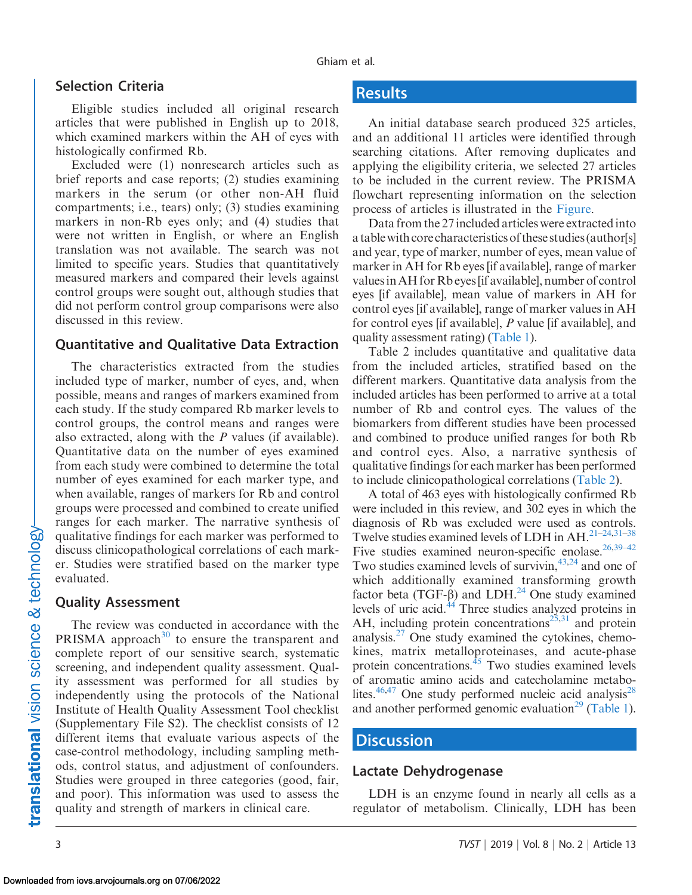#### Selection Criteria

Eligible studies included all original research articles that were published in English up to 2018, which examined markers within the AH of eyes with histologically confirmed Rb.

Excluded were (1) nonresearch articles such as brief reports and case reports; (2) studies examining markers in the serum (or other non-AH fluid compartments; i.e., tears) only; (3) studies examining markers in non-Rb eyes only; and (4) studies that were not written in English, or where an English translation was not available. The search was not limited to specific years. Studies that quantitatively measured markers and compared their levels against control groups were sought out, although studies that did not perform control group comparisons were also discussed in this review.

#### Quantitative and Qualitative Data Extraction

The characteristics extracted from the studies included type of marker, number of eyes, and, when possible, means and ranges of markers examined from each study. If the study compared Rb marker levels to control groups, the control means and ranges were also extracted, along with the P values (if available). Quantitative data on the number of eyes examined from each study were combined to determine the total number of eyes examined for each marker type, and when available, ranges of markers for Rb and control groups were processed and combined to create unified ranges for each marker. The narrative synthesis of qualitative findings for each marker was performed to discuss clinicopathological correlations of each marker. Studies were stratified based on the marker type evaluated.

#### Quality Assessment

The review was conducted in accordance with the PRISMA approach<sup>30</sup> to ensure the transparent and complete report of our sensitive search, systematic screening, and independent quality assessment. Quality assessment was performed for all studies by independently using the protocols of the National Institute of Health Quality Assessment Tool checklist (Supplementary File S2). The checklist consists of 12 different items that evaluate various aspects of the case-control methodology, including sampling methods, control status, and adjustment of confounders. Studies were grouped in three categories (good, fair, and poor). This information was used to assess the quality and strength of markers in clinical care.

# **Results**

An initial database search produced 325 articles, and an additional 11 articles were identified through searching citations. After removing duplicates and applying the eligibility criteria, we selected 27 articles to be included in the current review. The PRISMA flowchart representing information on the selection process of articles is illustrated in the [Figure](#page-3-0).

Data from the 27 included articles were extracted into a table with core characteristics of these studies (author[s] and year, type of marker, number of eyes, mean value of marker in AH for Rb eyes [if available], range of marker valuesin AH for Rb eyes[if available], number of control eyes [if available], mean value of markers in AH for control eyes [if available], range of marker values in AH for control eyes [if available], P value [if available], and quality assessment rating) [\(Table 1](#page-4-0)).

Table 2 includes quantitative and qualitative data from the included articles, stratified based on the different markers. Quantitative data analysis from the included articles has been performed to arrive at a total number of Rb and control eyes. The values of the biomarkers from different studies have been processed and combined to produce unified ranges for both Rb and control eyes. Also, a narrative synthesis of qualitative findings for each marker has been performed to include clinicopathological correlations [\(Table 2\)](#page-6-0).

A total of 463 eyes with histologically confirmed Rb were included in this review, and 302 eyes in which the diagnosis of Rb was excluded were used as controls. Twelve studies examined levels of LDH in  $AH$ <sup>21–24,31–38</sup> Five studies examined neuron-specific enolase.  $26,39-42$ Two studies examined levels of survivin, $43,24$  $43,24$  and one of which additionally examined transforming growth factor beta (TGF- $\beta$ ) and LDH.<sup>24</sup> One study examined levels of uric acid[.44](#page-13-0) Three studies analyzed proteins in AH, including protein concentrations<sup>25,31</sup> and protein analysis. $27$  One study examined the cytokines, chemokines, matrix metalloproteinases, and acute-phase protein concentrations. $^{45}$  Two studies examined levels of aromatic amino acids and catecholamine metabo-lites.<sup>[46](#page-13-0),[47](#page-13-0)</sup> One study performed nucleic acid analysis<sup>28</sup> and another performed genomic evaluation<sup>29</sup> ([Table 1\)](#page-4-0).

#### **Discussion**

#### Lactate Dehydrogenase

LDH is an enzyme found in nearly all cells as a regulator of metabolism. Clinically, LDH has been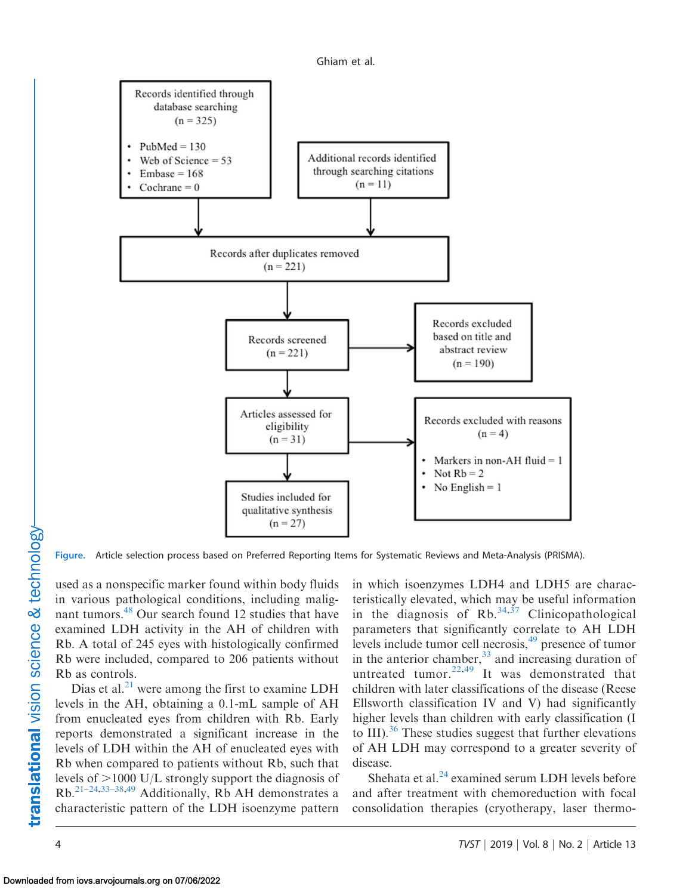

<span id="page-3-0"></span>

Figure. Article selection process based on Preferred Reporting Items for Systematic Reviews and Meta-Analysis (PRISMA).

used as a nonspecific marker found within body fluids in various pathological conditions, including malignant tumors.<sup>48</sup> Our search found 12 studies that have examined LDH activity in the AH of children with Rb. A total of 245 eyes with histologically confirmed Rb were included, compared to 206 patients without Rb as controls.

Dias et al. $^{21}$  were among the first to examine LDH levels in the AH, obtaining a 0.1-mL sample of AH from enucleated eyes from children with Rb. Early reports demonstrated a significant increase in the levels of LDH within the AH of enucleated eyes with Rb when compared to patients without Rb, such that levels of  $>$ 1000 U/L strongly support the diagnosis of  $Rb$ <sup>[21–24,33–38,](#page-12-0)[49](#page-13-0)</sup> Additionally, Rb AH demonstrates a characteristic pattern of the LDH isoenzyme pattern in which isoenzymes LDH4 and LDH5 are characteristically elevated, which may be useful information in the diagnosis of Rb.  $34,37$  Clinicopathological parameters that significantly correlate to AH LDH levels include tumor cell necrosis,<sup>49</sup> presence of tumor in the anterior chamber,  $33$  and increasing duration of untreated tumor. $22,49$  $22,49$  $22,49$  It was demonstrated that children with later classifications of the disease (Reese Ellsworth classification IV and V) had significantly higher levels than children with early classification (I to III). $36$  These studies suggest that further elevations of AH LDH may correspond to a greater severity of disease.

Shehata et al. $^{24}$  $^{24}$  $^{24}$  examined serum LDH levels before and after treatment with chemoreduction with focal consolidation therapies (cryotherapy, laser thermo-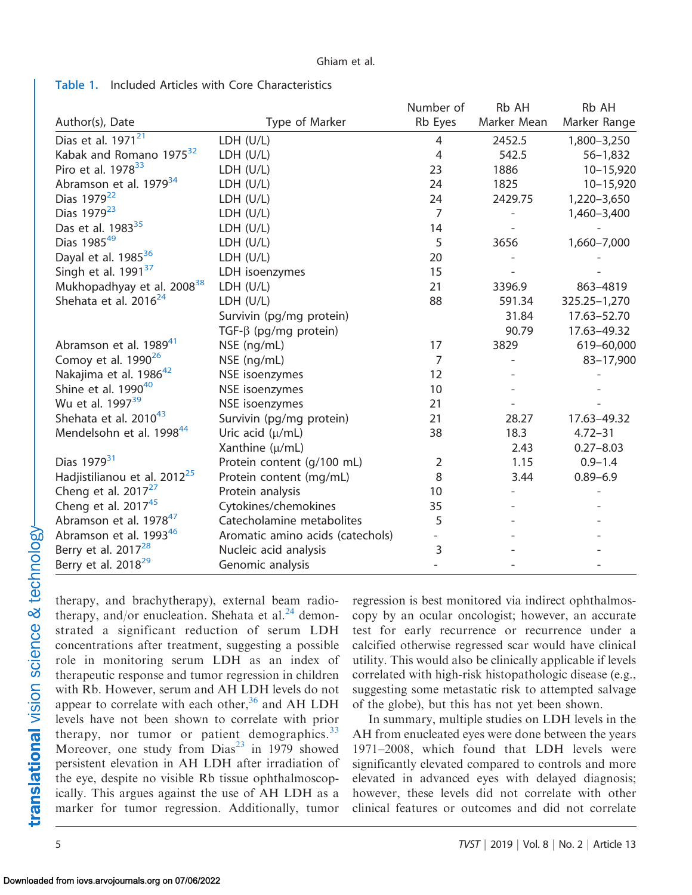|                                          |                                  | Number of      | Rb AH       | Rb AH         |
|------------------------------------------|----------------------------------|----------------|-------------|---------------|
| Author(s), Date                          | Type of Marker                   | Rb Eyes        | Marker Mean | Marker Range  |
| Dias et al. 1971 <sup>21</sup>           | LDH (U/L)                        | 4              | 2452.5      | 1,800-3,250   |
| Kabak and Romano 1975 <sup>32</sup>      | LDH (U/L)                        | 4              | 542.5       | $56 - 1,832$  |
| Piro et al. 1978 <sup>33</sup>           | LDH (U/L)                        | 23             | 1886        | $10 - 15,920$ |
| Abramson et al. 1979 <sup>34</sup>       | LDH (U/L)                        | 24             | 1825        | $10 - 15,920$ |
| Dias 1979 <sup>22</sup>                  | LDH (U/L)                        | 24             | 2429.75     | 1,220-3,650   |
| Dias 1979 <sup>23</sup>                  | LDH (U/L)                        | $\overline{7}$ |             | 1,460-3,400   |
| Das et al. 1983 <sup>35</sup>            | LDH (U/L)                        | 14             |             |               |
| Dias 198549                              | LDH (U/L)                        | 5              | 3656        | 1,660-7,000   |
| Dayal et al. 1985 <sup>36</sup>          | LDH (U/L)                        | 20             |             |               |
| Singh et al. $1991^{37}$                 | LDH isoenzymes                   | 15             |             |               |
| Mukhopadhyay et al. 2008 <sup>38</sup>   | LDH (U/L)                        | 21             | 3396.9      | 863-4819      |
| Shehata et al. 2016 <sup>24</sup>        | LDH (U/L)                        | 88             | 591.34      | 325.25-1,270  |
|                                          | Survivin (pg/mg protein)         |                | 31.84       | 17.63-52.70   |
|                                          | TGF- $\beta$ (pg/mg protein)     |                | 90.79       | 17.63-49.32   |
| Abramson et al. 1989 <sup>41</sup>       | NSE (ng/mL)                      | 17             | 3829        | 619-60,000    |
| Comoy et al. $1990^{26}$                 | NSE (ng/mL)                      | $\overline{7}$ |             | 83-17,900     |
| Nakajima et al. 1986 <sup>42</sup>       | NSE isoenzymes                   | 12             |             |               |
| Shine et al. $1990^{40}$                 | NSE isoenzymes                   | 10             |             |               |
| Wu et al. 1997 <sup>39</sup>             | NSE isoenzymes                   | 21             |             |               |
| Shehata et al. 2010 <sup>43</sup>        | Survivin (pg/mg protein)         | 21             | 28.27       | 17.63-49.32   |
| Mendelsohn et al. 1998 <sup>44</sup>     | Uric acid $(\mu/mL)$             | 38             | 18.3        | $4.72 - 31$   |
|                                          | Xanthine (µ/mL)                  |                | 2.43        | $0.27 - 8.03$ |
| Dias 1979 <sup>31</sup>                  | Protein content (g/100 mL)       | $\overline{2}$ | 1.15        | $0.9 - 1.4$   |
| Hadjistilianou et al. 2012 <sup>25</sup> | Protein content (mg/mL)          | 8              | 3.44        | $0.89 - 6.9$  |
| Cheng et al. $2017^{27}$                 | Protein analysis                 | 10             |             |               |
| Cheng et al. $2017^{45}$                 | Cytokines/chemokines             | 35             |             |               |
| Abramson et al. 1978 <sup>47</sup>       | Catecholamine metabolites        | 5              |             |               |
| Abramson et al. 1993 <sup>46</sup>       | Aromatic amino acids (catechols) |                |             |               |
| Berry et al. $2017^{28}$                 | Nucleic acid analysis            | 3              |             |               |
| Berry et al. 2018 <sup>29</sup>          | Genomic analysis                 |                |             |               |

<span id="page-4-0"></span>Table 1. Included Articles with Core Characteristics

therapy, and brachytherapy), external beam radiotherapy, and/or enucleation. Shehata et al. $^{24}$  demonstrated a significant reduction of serum LDH concentrations after treatment, suggesting a possible role in monitoring serum LDH as an index of therapeutic response and tumor regression in children with Rb. However, serum and AH LDH levels do not appear to correlate with each other,  $36$  and AH LDH levels have not been shown to correlate with prior therapy, nor tumor or patient demographics. $33$ Moreover, one study from  $Dias<sup>23</sup>$  $Dias<sup>23</sup>$  $Dias<sup>23</sup>$  in 1979 showed persistent elevation in AH LDH after irradiation of the eye, despite no visible Rb tissue ophthalmoscopically. This argues against the use of AH LDH as a marker for tumor regression. Additionally, tumor

regression is best monitored via indirect ophthalmoscopy by an ocular oncologist; however, an accurate test for early recurrence or recurrence under a calcified otherwise regressed scar would have clinical utility. This would also be clinically applicable if levels correlated with high-risk histopathologic disease (e.g., suggesting some metastatic risk to attempted salvage of the globe), but this has not yet been shown.

In summary, multiple studies on LDH levels in the AH from enucleated eyes were done between the years 1971–2008, which found that LDH levels were significantly elevated compared to controls and more elevated in advanced eyes with delayed diagnosis; however, these levels did not correlate with other clinical features or outcomes and did not correlate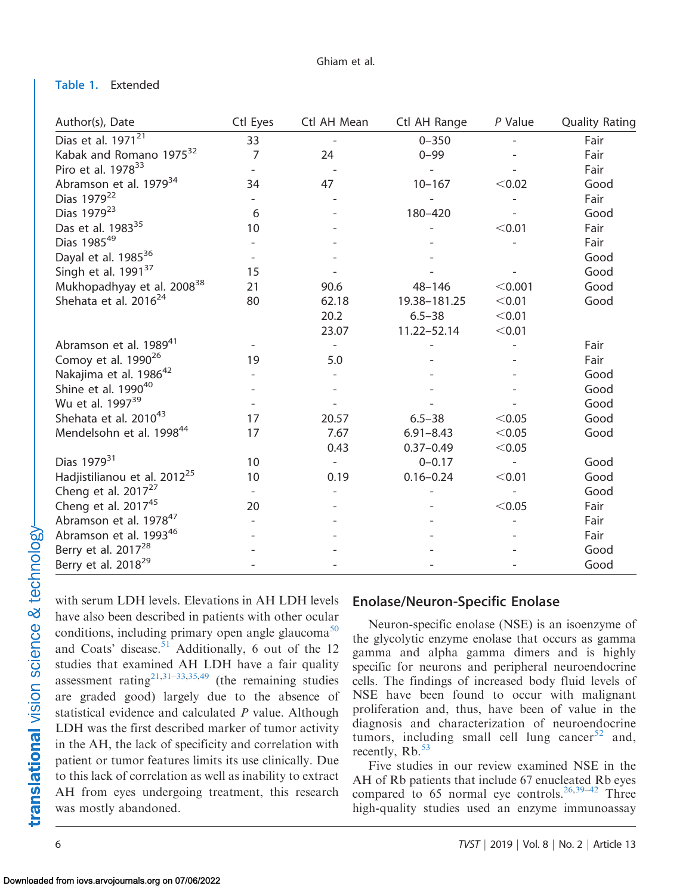#### Table 1. Extended

| Author(s), Date                          | Ctl Eyes | Ctl AH Mean              | Ctl AH Range  | P Value | <b>Quality Rating</b> |
|------------------------------------------|----------|--------------------------|---------------|---------|-----------------------|
| Dias et al. $1971^{21}$                  | 33       |                          | $0 - 350$     |         | Fair                  |
| Kabak and Romano 1975 <sup>32</sup>      | 7        | 24                       | $0 - 99$      |         | Fair                  |
| Piro et al. 1978 <sup>33</sup>           |          |                          |               |         | Fair                  |
| Abramson et al. 1979 <sup>34</sup>       | 34       | 47                       | $10 - 167$    | < 0.02  | Good                  |
| Dias 1979 <sup>22</sup>                  |          |                          |               |         | Fair                  |
| Dias 1979 <sup>23</sup>                  | 6        |                          | 180-420       |         | Good                  |
| Das et al. 1983 <sup>35</sup>            | 10       |                          |               | < 0.01  | Fair                  |
| Dias 198549                              |          |                          |               |         | Fair                  |
| Dayal et al. 1985 <sup>36</sup>          |          |                          |               |         | Good                  |
| Singh et al. 1991 <sup>37</sup>          | 15       |                          |               |         | Good                  |
| Mukhopadhyay et al. 2008 <sup>38</sup>   | 21       | 90.6                     | $48 - 146$    | < 0.001 | Good                  |
| Shehata et al. 2016 <sup>24</sup>        | 80       | 62.18                    | 19.38-181.25  | < 0.01  | Good                  |
|                                          |          | 20.2                     | $6.5 - 38$    | < 0.01  |                       |
|                                          |          | 23.07                    | 11.22-52.14   | < 0.01  |                       |
| Abramson et al. 1989 <sup>41</sup>       |          | $\overline{\phantom{a}}$ |               |         | Fair                  |
| Comoy et al. 1990 <sup>26</sup>          | 19       | 5.0                      |               |         | Fair                  |
| Nakajima et al. 1986 <sup>42</sup>       |          |                          |               |         | Good                  |
| Shine et al. 1990 <sup>40</sup>          |          |                          |               |         | Good                  |
| Wu et al. 1997 <sup>39</sup>             |          |                          |               |         | Good                  |
| Shehata et al. 2010 <sup>43</sup>        | 17       | 20.57                    | $6.5 - 38$    | < 0.05  | Good                  |
| Mendelsohn et al. 1998 <sup>44</sup>     | 17       | 7.67                     | $6.91 - 8.43$ | < 0.05  | Good                  |
|                                          |          | 0.43                     | $0.37 - 0.49$ | < 0.05  |                       |
| Dias 1979 <sup>31</sup>                  | 10       | $\overline{a}$           | $0 - 0.17$    |         | Good                  |
| Hadjistilianou et al. 2012 <sup>25</sup> | 10       | 0.19                     | $0.16 - 0.24$ | < 0.01  | Good                  |
| Cheng et al. 2017 <sup>27</sup>          |          |                          |               |         | Good                  |
| Cheng et al. 2017 <sup>45</sup>          | 20       |                          |               | < 0.05  | Fair                  |
| Abramson et al. 1978 <sup>47</sup>       |          |                          |               |         | Fair                  |
| Abramson et al. 1993 <sup>46</sup>       |          |                          |               |         | Fair                  |
| Berry et al. 2017 <sup>28</sup>          |          |                          |               |         | Good                  |
| Berry et al. 2018 <sup>29</sup>          |          |                          |               |         | Good                  |

with serum LDH levels. Elevations in AH LDH levels have also been described in patients with other ocular conditions, including primary open angle glaucoma<sup>[50](#page-13-0)</sup> and Coats' disease.<sup>51</sup> Additionally, 6 out of the 12 studies that examined AH LDH have a fair quality assessment rating<sup>21,31–33,[35,](#page-12-0)[49](#page-13-0)</sup> (the remaining studies are graded good) largely due to the absence of statistical evidence and calculated  $P$  value. Although LDH was the first described marker of tumor activity in the AH, the lack of specificity and correlation with patient or tumor features limits its use clinically. Due to this lack of correlation as well as inability to extract AH from eyes undergoing treatment, this research was mostly abandoned.

#### Enolase/Neuron-Specific Enolase

Neuron-specific enolase (NSE) is an isoenzyme of the glycolytic enzyme enolase that occurs as gamma gamma and alpha gamma dimers and is highly specific for neurons and peripheral neuroendocrine cells. The findings of increased body fluid levels of NSE have been found to occur with malignant proliferation and, thus, have been of value in the diagnosis and characterization of neuroendocrine tumors, including small cell lung cancer $52$  and, recently,  $Rb.$ <sup>[53](#page-13-0)</sup>

Five studies in our review examined NSE in the AH of Rb patients that include 67 enucleated Rb eyes compared to 65 normal eye controls.<sup>[26,39](#page-12-0)–[42](#page-13-0)</sup> Three high-quality studies used an enzyme immunoassay

translational vision science & technology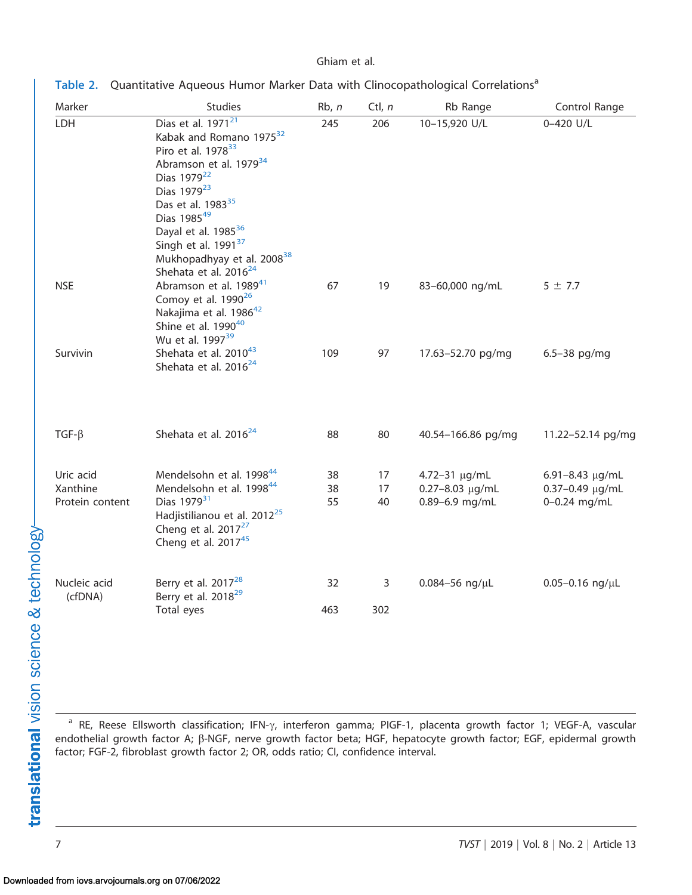<span id="page-6-0"></span>

| Table 2. Quantitative Aqueous Humor Marker Data with Clinocopathological Correlations <sup>a</sup> |  |  |  |  |  |
|----------------------------------------------------------------------------------------------------|--|--|--|--|--|
|----------------------------------------------------------------------------------------------------|--|--|--|--|--|

| Marker                                   | <b>Studies</b>                                                                                                                                                                                                                                                                                                                                                                                           | Rb, n          | Ctl, $n$       | Rb Range                                                  | Control Range                                      |
|------------------------------------------|----------------------------------------------------------------------------------------------------------------------------------------------------------------------------------------------------------------------------------------------------------------------------------------------------------------------------------------------------------------------------------------------------------|----------------|----------------|-----------------------------------------------------------|----------------------------------------------------|
| LDH                                      | Dias et al. 1971 <sup>21</sup><br>Kabak and Romano 1975 <sup>32</sup><br>Piro et al. 1978 <sup>33</sup><br>Abramson et al. 1979 <sup>34</sup><br>Dias 1979 <sup>22</sup><br>Dias 1979 <sup>23</sup><br>Das et al. 1983 <sup>35</sup><br>Dias 198549<br>Dayal et al. 1985 <sup>36</sup><br>Singh et al. 1991 <sup>37</sup><br>Mukhopadhyay et al. 2008 <sup>38</sup><br>Shehata et al. 2016 <sup>24</sup> | 245            | 206            | 10-15,920 U/L                                             | 0-420 U/L                                          |
| <b>NSE</b>                               | Abramson et al. 1989 <sup>41</sup><br>Comoy et al. 1990 <sup>26</sup><br>Nakajima et al. 1986 <sup>42</sup><br>Shine et al. 1990 <sup>40</sup><br>Wu et al. 1997 <sup>39</sup>                                                                                                                                                                                                                           | 67             | 19             | 83-60,000 ng/mL                                           | $5 \pm 7.7$                                        |
| Survivin                                 | Shehata et al. 2010 <sup>43</sup><br>Shehata et al. 2016 <sup>24</sup>                                                                                                                                                                                                                                                                                                                                   | 109            | 97             | 17.63-52.70 pg/mg                                         | $6.5 - 38$ pg/mg                                   |
| $TGF-\beta$                              | Shehata et al. 2016 <sup>24</sup>                                                                                                                                                                                                                                                                                                                                                                        | 88             | 80             | 40.54-166.86 pg/mg                                        | 11.22-52.14 pg/mg                                  |
| Uric acid<br>Xanthine<br>Protein content | Mendelsohn et al. 1998 <sup>44</sup><br>Mendelsohn et al. 1998 <sup>44</sup><br>Dias 1979 <sup>31</sup><br>Hadjistilianou et al. 2012 <sup>25</sup><br>Cheng et al. 2017 <sup>27</sup><br>Cheng et al. $2017^{45}$                                                                                                                                                                                       | 38<br>38<br>55 | 17<br>17<br>40 | 4.72-31 µg/mL<br>$0.27 - 8.03 \mu g/mL$<br>0.89-6.9 mg/mL | 6.91-8.43 µg/mL<br>0.37-0.49 µg/mL<br>0-0.24 mg/mL |
| Nucleic acid<br>(cfDNA)                  | Berry et al. 2017 <sup>28</sup><br>Berry et al. 2018 <sup>29</sup><br>Total eyes                                                                                                                                                                                                                                                                                                                         | 32<br>463      | 3<br>302       | $0.084 - 56$ ng/ $\mu$ L                                  | $0.05 - 0.16$ ng/ $\mu$ L                          |

<sup>a</sup> RE, Reese Ellsworth classification; IFN- $\gamma$ , interferon gamma; PIGF-1, placenta growth factor 1; VEGF-A, vascular endothelial growth factor A;  $\beta$ -NGF, nerve growth factor beta; HGF, hepatocyte growth factor; EGF, epidermal growth factor; FGF-2, fibroblast growth factor 2; OR, odds ratio; CI, confidence interval.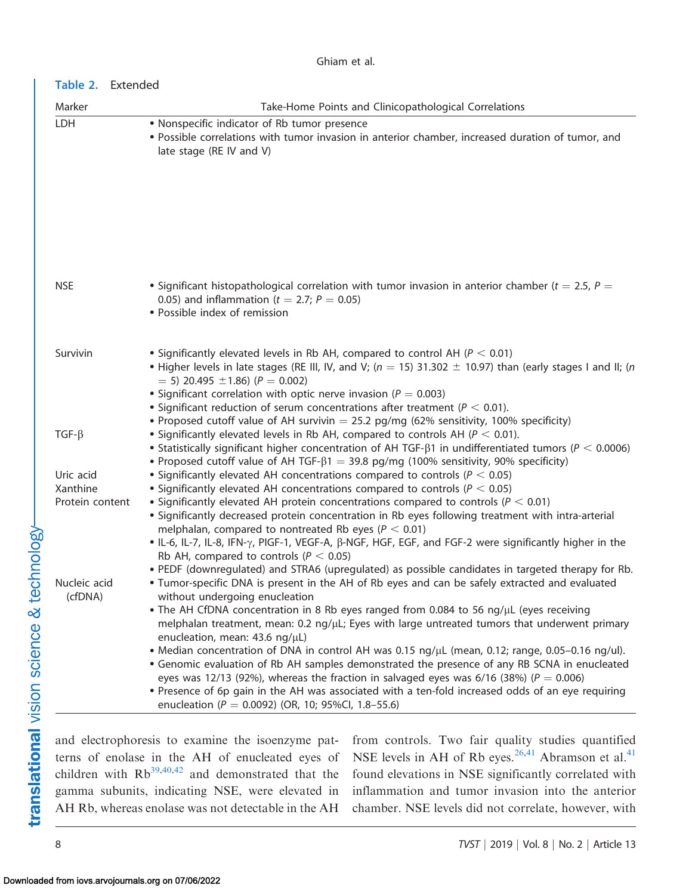# Table 2. Extended

| Marker                      | Take-Home Points and Clinicopathological Correlations                                                                                                                                                                                                                                                                                                                                                       |
|-----------------------------|-------------------------------------------------------------------------------------------------------------------------------------------------------------------------------------------------------------------------------------------------------------------------------------------------------------------------------------------------------------------------------------------------------------|
| LDH                         | • Nonspecific indicator of Rb tumor presence<br>. Possible correlations with tumor invasion in anterior chamber, increased duration of tumor, and<br>late stage (RE IV and V)                                                                                                                                                                                                                               |
|                             |                                                                                                                                                                                                                                                                                                                                                                                                             |
|                             |                                                                                                                                                                                                                                                                                                                                                                                                             |
|                             |                                                                                                                                                                                                                                                                                                                                                                                                             |
| <b>NSE</b>                  | • Significant histopathological correlation with tumor invasion in anterior chamber ( $t = 2.5$ , $P =$<br>0.05) and inflammation ( $t = 2.7$ ; $P = 0.05$ )<br>· Possible index of remission                                                                                                                                                                                                               |
| Survivin                    | • Significantly elevated levels in Rb AH, compared to control AH ( $P < 0.01$ )<br>• Higher levels in late stages (RE III, IV, and V; ( $n = 15$ ) 31.302 $\pm$ 10.97) than (early stages I and II; (n<br>$=$ 5) 20.495 $\pm$ 1.86) (P $=$ 0.002)<br>• Significant correlation with optic nerve invasion ( $P = 0.003$ )<br>• Significant reduction of serum concentrations after treatment ( $P < 0.01$ ). |
| $TGF-\beta$                 | • Proposed cutoff value of AH survivin $=$ 25.2 pg/mg (62% sensitivity, 100% specificity)<br>• Significantly elevated levels in Rb AH, compared to controls AH ( $P < 0.01$ ).<br>• Statistically significant higher concentration of AH TGF- $\beta$ 1 in undifferentiated tumors ( $P < 0.0006$ )                                                                                                         |
| Uric acid                   | • Proposed cutoff value of AH TGF- $\beta$ 1 = 39.8 pg/mg (100% sensitivity, 90% specificity)<br>• Significantly elevated AH concentrations compared to controls ( $P < 0.05$ )                                                                                                                                                                                                                             |
| Xanthine<br>Protein content | • Significantly elevated AH concentrations compared to controls ( $P < 0.05$ )<br>• Significantly elevated AH protein concentrations compared to controls ( $P < 0.01$ )                                                                                                                                                                                                                                    |
|                             | • Significantly decreased protein concentration in Rb eyes following treatment with intra-arterial                                                                                                                                                                                                                                                                                                          |
|                             | melphalan, compared to nontreated Rb eyes ( $P < 0.01$ )<br>• IL-6, IL-7, IL-8, IFN-γ, PIGF-1, VEGF-A, β-NGF, HGF, EGF, and FGF-2 were significantly higher in the<br>Rb AH, compared to controls ( $P < 0.05$ )                                                                                                                                                                                            |
| Nucleic acid                | . PEDF (downregulated) and STRA6 (upregulated) as possible candidates in targeted therapy for Rb.<br>. Tumor-specific DNA is present in the AH of Rb eyes and can be safely extracted and evaluated                                                                                                                                                                                                         |
| (cfDNA)                     | without undergoing enucleation<br>• The AH CfDNA concentration in 8 Rb eyes ranged from 0.084 to 56 ng/µL (eyes receiving<br>melphalan treatment, mean: $0.2$ ng/ $\mu$ L; Eyes with large untreated tumors that underwent primary<br>enucleation, mean: 43.6 ng/µL)                                                                                                                                        |
|                             | • Median concentration of DNA in control AH was 0.15 ng/µL (mean, 0.12; range, 0.05-0.16 ng/ul).<br>• Genomic evaluation of Rb AH samples demonstrated the presence of any RB SCNA in enucleated<br>eyes was 12/13 (92%), whereas the fraction in salvaged eyes was 6/16 (38%) ( $P = 0.006$ )                                                                                                              |
|                             | • Presence of 6p gain in the AH was associated with a ten-fold increased odds of an eye requiring<br>enucleation ( $P = 0.0092$ ) (OR, 10; 95%Cl, 1.8-55.6)                                                                                                                                                                                                                                                 |

and electrophoresis to examine the isoenzyme patterns of enolase in the AH of enucleated eyes of children with  $Rb^{39,40,42}$  $Rb^{39,40,42}$  $Rb^{39,40,42}$  $Rb^{39,40,42}$  and demonstrated that the gamma subunits, indicating NSE, were elevated in AH Rb, whereas enolase was not detectable in the AH from controls. Two fair quality studies quantified NSE levels in AH of Rb eyes.<sup>[26,](#page-12-0)[41](#page-13-0)</sup> Abramson et al.<sup>41</sup> found elevations in NSE significantly correlated with inflammation and tumor invasion into the anterior chamber. NSE levels did not correlate, however, with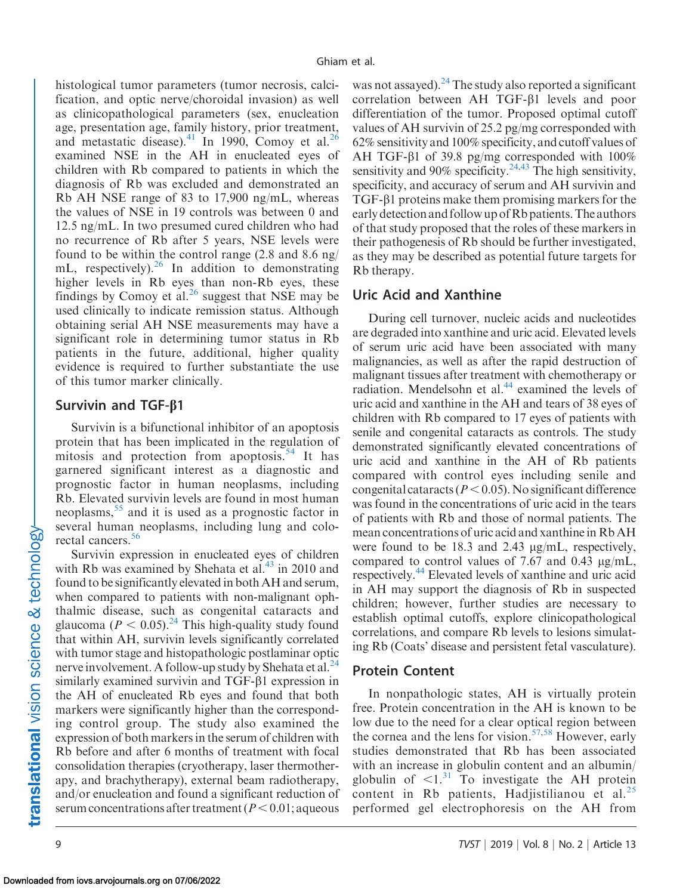histological tumor parameters (tumor necrosis, calcification, and optic nerve/choroidal invasion) as well as clinicopathological parameters (sex, enucleation age, presentation age, family history, prior treatment, and metastatic disease). $41$  In 1990, Comoy et al.<sup>[26](#page-12-0)</sup> examined NSE in the AH in enucleated eyes of children with Rb compared to patients in which the diagnosis of Rb was excluded and demonstrated an Rb AH NSE range of 83 to 17,900 ng/mL, whereas the values of NSE in 19 controls was between 0 and 12.5 ng/mL. In two presumed cured children who had no recurrence of Rb after 5 years, NSE levels were found to be within the control range (2.8 and 8.6 ng/ mL, respectively). $^{26}$  In addition to demonstrating higher levels in Rb eyes than non-Rb eyes, these findings by Comoy et al. $26$  suggest that NSE may be used clinically to indicate remission status. Although obtaining serial AH NSE measurements may have a significant role in determining tumor status in Rb patients in the future, additional, higher quality evidence is required to further substantiate the use of this tumor marker clinically.

#### Survivin and TGF- $\beta$ 1

Survivin is a bifunctional inhibitor of an apoptosis protein that has been implicated in the regulation of mitosis and protection from apoptosis.<sup>[54](#page-13-0)</sup> It has garnered significant interest as a diagnostic and prognostic factor in human neoplasms, including Rb. Elevated survivin levels are found in most human neoplasms,  $55$  and it is used as a prognostic factor in several human neoplasms, including lung and colo-rectal cancers.<sup>[56](#page-13-0)</sup>

Survivin expression in enucleated eyes of children with Rb was examined by Shehata et al. $^{43}$  $^{43}$  $^{43}$  in 2010 and found to be significantly elevated in both AH and serum, when compared to patients with non-malignant ophthalmic disease, such as congenital cataracts and glaucoma ( $P < 0.05$ )<sup>[24](#page-12-0)</sup> This high-quality study found that within AH, survivin levels significantly correlated with tumor stage and histopathologic postlaminar optic nerve involvement. A follow-up study by Shehata et al.<sup>24</sup> similarly examined survivin and TGF- $\beta$ 1 expression in the AH of enucleated Rb eyes and found that both markers were significantly higher than the corresponding control group. The study also examined the expression of both markers in the serum of children with Rb before and after 6 months of treatment with focal consolidation therapies (cryotherapy, laser thermotherapy, and brachytherapy), external beam radiotherapy, and/or enucleation and found a significant reduction of serum concentrations after treatment  $(P< 0.01;$  aqueous

was not assayed). <sup>24</sup> The study also reported a significant correlation between AH TGF- $\beta$ 1 levels and poor differentiation of the tumor. Proposed optimal cutoff values of AH survivin of 25.2 pg/mg corresponded with 62% sensitivity and 100% specificity, and cutoff values of AH TGF- $\beta$ 1 of 39.8 pg/mg corresponded with 100% sensitivity and 90% specificity.<sup>[24,](#page-12-0)[43](#page-13-0)</sup> The high sensitivity, specificity, and accuracy of serum and AH survivin and  $TGF- $\beta$ 1 proteins make them promising markers for the$ early detection and follow up of Rb patients. The authors of that study proposed that the roles of these markers in their pathogenesis of Rb should be further investigated, as they may be described as potential future targets for Rb therapy.

#### Uric Acid and Xanthine

During cell turnover, nucleic acids and nucleotides are degraded into xanthine and uric acid. Elevated levels of serum uric acid have been associated with many malignancies, as well as after the rapid destruction of malignant tissues after treatment with chemotherapy or radiation. Mendelsohn et al.<sup>[44](#page-13-0)</sup> examined the levels of uric acid and xanthine in the AH and tears of 38 eyes of children with Rb compared to 17 eyes of patients with senile and congenital cataracts as controls. The study demonstrated significantly elevated concentrations of uric acid and xanthine in the AH of Rb patients compared with control eyes including senile and congenital cataracts ( $P < 0.05$ ). No significant difference was found in the concentrations of uric acid in the tears of patients with Rb and those of normal patients. The mean concentrations of uric acid and xanthine in Rb AH were found to be 18.3 and 2.43  $\mu$ g/mL, respectively, compared to control values of 7.67 and 0.43  $\mu$ g/mL, respectively.<sup>[44](#page-13-0)</sup> Elevated levels of xanthine and uric acid in AH may support the diagnosis of Rb in suspected children; however, further studies are necessary to establish optimal cutoffs, explore clinicopathological correlations, and compare Rb levels to lesions simulating Rb (Coats' disease and persistent fetal vasculature).

#### Protein Content

In nonpathologic states, AH is virtually protein free. Protein concentration in the AH is known to be low due to the need for a clear optical region between the cornea and the lens for vision.<sup>57,58</sup> However, early studies demonstrated that Rb has been associated with an increase in globulin content and an albumin/ globulin of  $\leq 1$ .<sup>[31](#page-12-0)</sup> To investigate the AH protein content in Rb patients, Hadjistilianou et al. $^{25}$  $^{25}$  $^{25}$ performed gel electrophoresis on the AH from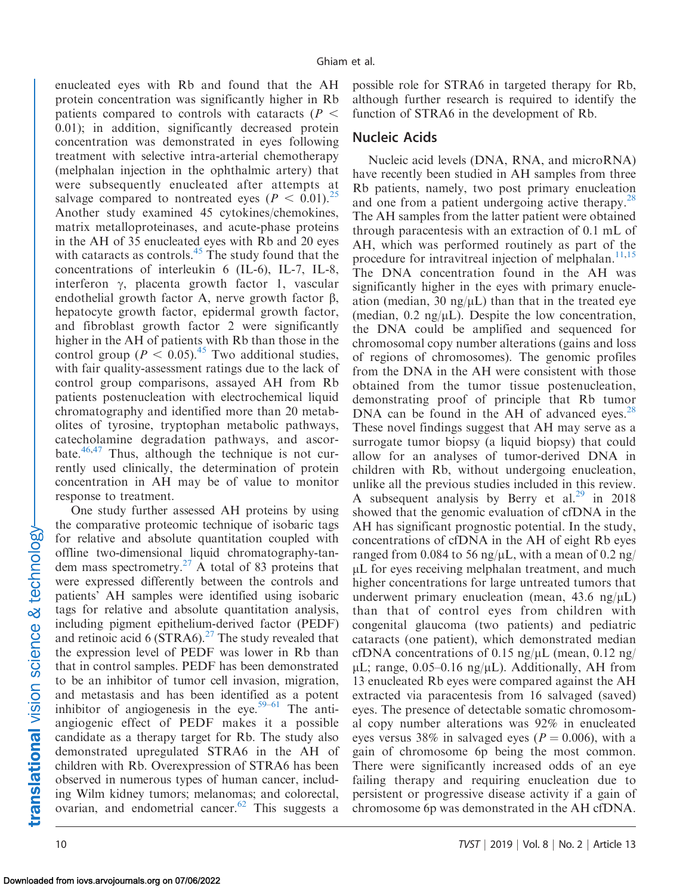enucleated eyes with Rb and found that the AH protein concentration was significantly higher in Rb patients compared to controls with cataracts ( $P \leq$ 0.01); in addition, significantly decreased protein concentration was demonstrated in eyes following treatment with selective intra-arterial chemotherapy (melphalan injection in the ophthalmic artery) that were subsequently enucleated after attempts at salvage compared to nontreated eyes ( $P < 0.01$ ).<sup>[25](#page-12-0)</sup> Another study examined 45 cytokines/chemokines, matrix metalloproteinases, and acute-phase proteins in the AH of 35 enucleated eyes with Rb and 20 eyes with cataracts as controls. $45$  The study found that the concentrations of interleukin 6 (IL-6), IL-7, IL-8, interferon  $\gamma$ , placenta growth factor 1, vascular endothelial growth factor A, nerve growth factor  $\beta$ , hepatocyte growth factor, epidermal growth factor, and fibroblast growth factor 2 were significantly higher in the AH of patients with Rb than those in the control group ( $P < 0.05$ ).<sup>[45](#page-13-0)</sup> Two additional studies, with fair quality-assessment ratings due to the lack of control group comparisons, assayed AH from Rb patients postenucleation with electrochemical liquid chromatography and identified more than 20 metabolites of tyrosine, tryptophan metabolic pathways, catecholamine degradation pathways, and ascorbate. $46,47$  Thus, although the technique is not currently used clinically, the determination of protein concentration in AH may be of value to monitor response to treatment.

One study further assessed AH proteins by using the comparative proteomic technique of isobaric tags for relative and absolute quantitation coupled with offline two-dimensional liquid chromatography-tan-dem mass spectrometry.<sup>[27](#page-12-0)</sup> A total of 83 proteins that were expressed differently between the controls and patients' AH samples were identified using isobaric tags for relative and absolute quantitation analysis, including pigment epithelium-derived factor (PEDF) and retinoic acid 6 (STRA6).<sup>[27](#page-12-0)</sup> The study revealed that the expression level of PEDF was lower in Rb than that in control samples. PEDF has been demonstrated to be an inhibitor of tumor cell invasion, migration, and metastasis and has been identified as a potent inhibitor of angiogenesis in the eye.<sup>59–61</sup> The antiangiogenic effect of PEDF makes it a possible candidate as a therapy target for Rb. The study also demonstrated upregulated STRA6 in the AH of children with Rb. Overexpression of STRA6 has been observed in numerous types of human cancer, including Wilm kidney tumors; melanomas; and colorectal, ovarian, and endometrial cancer.<sup>62</sup> This suggests a

possible role for STRA6 in targeted therapy for Rb, although further research is required to identify the function of STRA6 in the development of Rb.

#### Nucleic Acids

Nucleic acid levels (DNA, RNA, and microRNA) have recently been studied in AH samples from three Rb patients, namely, two post primary enucleation and one from a patient undergoing active therapy.<sup>[28](#page-12-0)</sup> The AH samples from the latter patient were obtained through paracentesis with an extraction of 0.1 mL of AH, which was performed routinely as part of the procedure for intravitreal injection of melphalan. $11,15$  $11,15$ The DNA concentration found in the AH was significantly higher in the eyes with primary enucleation (median, 30 ng/ $\mu$ L) than that in the treated eye (median,  $0.2 \text{ ng/µL}$ ). Despite the low concentration, the DNA could be amplified and sequenced for chromosomal copy number alterations (gains and loss of regions of chromosomes). The genomic profiles from the DNA in the AH were consistent with those obtained from the tumor tissue postenucleation, demonstrating proof of principle that Rb tumor DNA can be found in the AH of advanced eyes. $28$ These novel findings suggest that AH may serve as a surrogate tumor biopsy (a liquid biopsy) that could allow for an analyses of tumor-derived DNA in children with Rb, without undergoing enucleation, unlike all the previous studies included in this review. A subsequent analysis by Berry et al.<sup>29</sup> in 2018 showed that the genomic evaluation of cfDNA in the AH has significant prognostic potential. In the study, concentrations of cfDNA in the AH of eight Rb eyes ranged from 0.084 to 56 ng/ $\mu$ L, with a mean of 0.2 ng/  $\mu$ L for eyes receiving melphalan treatment, and much higher concentrations for large untreated tumors that underwent primary enucleation (mean,  $43.6 \text{ ng/}\mu\text{L}$ ) than that of control eyes from children with congenital glaucoma (two patients) and pediatric cataracts (one patient), which demonstrated median cfDNA concentrations of 0.15 ng/ $\mu$ L (mean, 0.12 ng/  $\mu$ L; range, 0.05–0.16 ng/ $\mu$ L). Additionally, AH from 13 enucleated Rb eyes were compared against the AH extracted via paracentesis from 16 salvaged (saved) eyes. The presence of detectable somatic chromosomal copy number alterations was 92% in enucleated eyes versus 38% in salvaged eyes ( $P = 0.006$ ), with a gain of chromosome 6p being the most common. There were significantly increased odds of an eye failing therapy and requiring enucleation due to persistent or progressive disease activity if a gain of chromosome 6p was demonstrated in the AH cfDNA.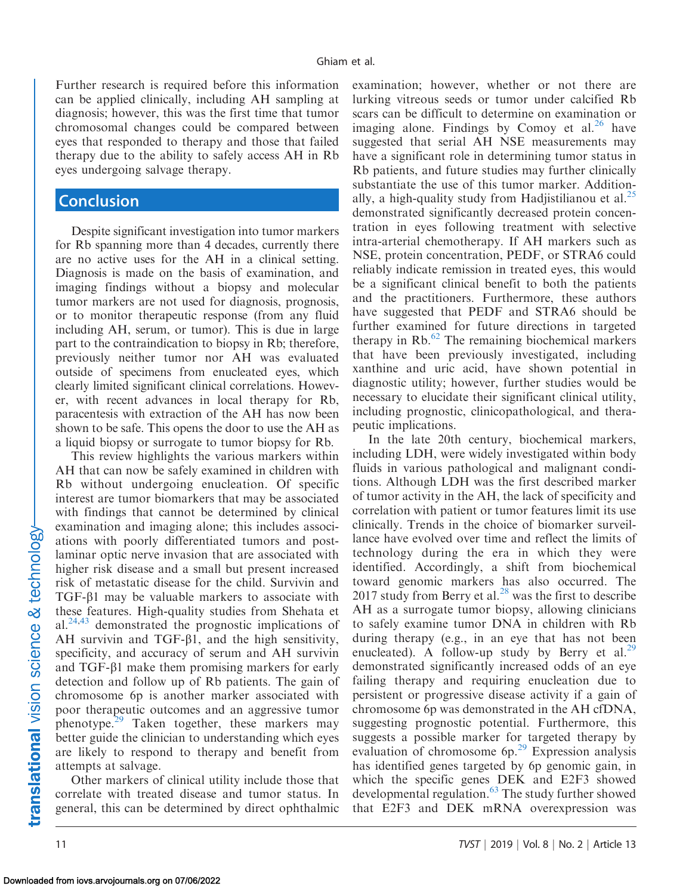Further research is required before this information can be applied clinically, including AH sampling at diagnosis; however, this was the first time that tumor chromosomal changes could be compared between eyes that responded to therapy and those that failed therapy due to the ability to safely access AH in Rb eyes undergoing salvage therapy.

#### **Conclusion**

Despite significant investigation into tumor markers for Rb spanning more than 4 decades, currently there are no active uses for the AH in a clinical setting. Diagnosis is made on the basis of examination, and imaging findings without a biopsy and molecular tumor markers are not used for diagnosis, prognosis, or to monitor therapeutic response (from any fluid including AH, serum, or tumor). This is due in large part to the contraindication to biopsy in Rb; therefore, previously neither tumor nor AH was evaluated outside of specimens from enucleated eyes, which clearly limited significant clinical correlations. However, with recent advances in local therapy for Rb, paracentesis with extraction of the AH has now been shown to be safe. This opens the door to use the AH as a liquid biopsy or surrogate to tumor biopsy for Rb.

This review highlights the various markers within AH that can now be safely examined in children with Rb without undergoing enucleation. Of specific interest are tumor biomarkers that may be associated with findings that cannot be determined by clinical examination and imaging alone; this includes associations with poorly differentiated tumors and postlaminar optic nerve invasion that are associated with higher risk disease and a small but present increased risk of metastatic disease for the child. Survivin and  $TGF- $\beta$ 1 may be valuable markers to associate with$ these features. High-quality studies from Shehata et al. $24,43$  $24,43$  demonstrated the prognostic implications of AH survivin and TGF- $\beta$ 1, and the high sensitivity, specificity, and accuracy of serum and AH survivin and TGF-b1 make them promising markers for early detection and follow up of Rb patients. The gain of chromosome 6p is another marker associated with poor therapeutic outcomes and an aggressive tumor phenotype. $^{29}$  $^{29}$  $^{29}$  Taken together, these markers may better guide the clinician to understanding which eyes are likely to respond to therapy and benefit from attempts at salvage.

Other markers of clinical utility include those that correlate with treated disease and tumor status. In general, this can be determined by direct ophthalmic examination; however, whether or not there are lurking vitreous seeds or tumor under calcified Rb scars can be difficult to determine on examination or imaging alone. Findings by Comoy et al.<sup>26</sup> have suggested that serial AH NSE measurements may have a significant role in determining tumor status in Rb patients, and future studies may further clinically substantiate the use of this tumor marker. Addition-ally, a high-quality study from Hadjistilianou et al.<sup>[25](#page-12-0)</sup> demonstrated significantly decreased protein concentration in eyes following treatment with selective intra-arterial chemotherapy. If AH markers such as NSE, protein concentration, PEDF, or STRA6 could reliably indicate remission in treated eyes, this would be a significant clinical benefit to both the patients and the practitioners. Furthermore, these authors have suggested that PEDF and STRA6 should be further examined for future directions in targeted therapy in  $Rb$ .<sup>[62](#page-13-0)</sup> The remaining biochemical markers that have been previously investigated, including xanthine and uric acid, have shown potential in diagnostic utility; however, further studies would be necessary to elucidate their significant clinical utility, including prognostic, clinicopathological, and therapeutic implications.

In the late 20th century, biochemical markers, including LDH, were widely investigated within body fluids in various pathological and malignant conditions. Although LDH was the first described marker of tumor activity in the AH, the lack of specificity and correlation with patient or tumor features limit its use clinically. Trends in the choice of biomarker surveillance have evolved over time and reflect the limits of technology during the era in which they were identified. Accordingly, a shift from biochemical toward genomic markers has also occurred. The 2017 study from Berry et al. $^{28}$  was the first to describe AH as a surrogate tumor biopsy, allowing clinicians to safely examine tumor DNA in children with Rb during therapy (e.g., in an eye that has not been enucleated). A follow-up study by Berry et al.<sup>[29](#page-12-0)</sup> demonstrated significantly increased odds of an eye failing therapy and requiring enucleation due to persistent or progressive disease activity if a gain of chromosome 6p was demonstrated in the AH cfDNA, suggesting prognostic potential. Furthermore, this suggests a possible marker for targeted therapy by evaluation of chromosome  $6p<sup>29</sup>$  $6p<sup>29</sup>$  $6p<sup>29</sup>$  Expression analysis has identified genes targeted by 6p genomic gain, in which the specific genes DEK and E2F3 showed developmental regulation.<sup>63</sup> The study further showed that E2F3 and DEK mRNA overexpression was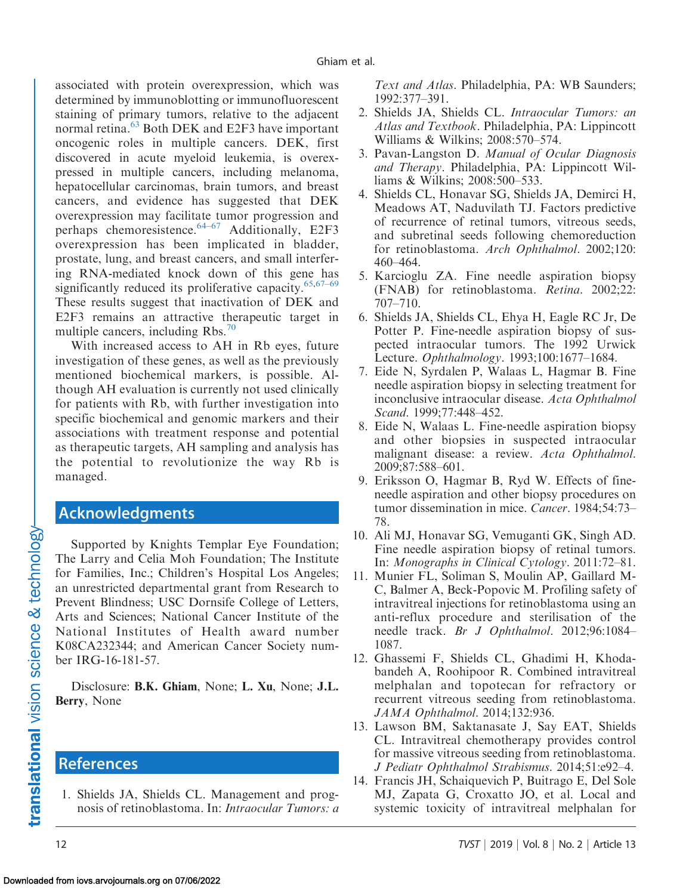<span id="page-11-0"></span>associated with protein overexpression, which was determined by immunoblotting or immunofluorescent staining of primary tumors, relative to the adjacent normal retina.<sup>63</sup> Both DEK and E2F3 have important oncogenic roles in multiple cancers. DEK, first discovered in acute myeloid leukemia, is overexpressed in multiple cancers, including melanoma, hepatocellular carcinomas, brain tumors, and breast cancers, and evidence has suggested that DEK overexpression may facilitate tumor progression and perhaps chemoresistence. $64-67$  $64-67$  Additionally, E2F3 overexpression has been implicated in bladder, prostate, lung, and breast cancers, and small interfering RNA-mediated knock down of this gene has significantly reduced its proliferative capacity. $65,67-69$  $65,67-69$ These results suggest that inactivation of DEK and E2F3 remains an attractive therapeutic target in multiple cancers, including  $Rbs.^{0}$ 

With increased access to AH in Rb eyes, future investigation of these genes, as well as the previously mentioned biochemical markers, is possible. Although AH evaluation is currently not used clinically for patients with Rb, with further investigation into specific biochemical and genomic markers and their associations with treatment response and potential as therapeutic targets, AH sampling and analysis has the potential to revolutionize the way Rb is managed.

# Acknowledgments

Supported by Knights Templar Eye Foundation; The Larry and Celia Moh Foundation; The Institute for Families, Inc.; Children's Hospital Los Angeles; an unrestricted departmental grant from Research to Prevent Blindness; USC Dornsife College of Letters, Arts and Sciences; National Cancer Institute of the National Institutes of Health award number K08CA232344; and American Cancer Society number IRG-16-181-57.

Disclosure: B.K. Ghiam, None; L. Xu, None; J.L. Berry, None

#### **References**

1. Shields JA, Shields CL. Management and prognosis of retinoblastoma. In: Intraocular Tumors: a Text and Atlas. Philadelphia, PA: WB Saunders; 1992:377–391.

- 2. Shields JA, Shields CL. Intraocular Tumors: an Atlas and Textbook. Philadelphia, PA: Lippincott Williams & Wilkins; 2008:570–574.
- 3. Pavan-Langston D. Manual of Ocular Diagnosis and Therapy. Philadelphia, PA: Lippincott Williams & Wilkins; 2008:500–533.
- 4. Shields CL, Honavar SG, Shields JA, Demirci H, Meadows AT, Naduvilath TJ. Factors predictive of recurrence of retinal tumors, vitreous seeds, and subretinal seeds following chemoreduction for retinoblastoma. Arch Ophthalmol. 2002;120: 460–464.
- 5. Karcioglu ZA. Fine needle aspiration biopsy (FNAB) for retinoblastoma. Retina. 2002;22: 707–710.
- 6. Shields JA, Shields CL, Ehya H, Eagle RC Jr, De Potter P. Fine-needle aspiration biopsy of suspected intraocular tumors. The 1992 Urwick Lecture. Ophthalmology. 1993;100:1677–1684.
- 7. Eide N, Syrdalen P, Walaas L, Hagmar B. Fine needle aspiration biopsy in selecting treatment for inconclusive intraocular disease. Acta Ophthalmol Scand. 1999;77:448–452.
- 8. Eide N, Walaas L. Fine-needle aspiration biopsy and other biopsies in suspected intraocular malignant disease: a review. Acta Ophthalmol. 2009;87:588–601.
- 9. Eriksson O, Hagmar B, Ryd W. Effects of fineneedle aspiration and other biopsy procedures on tumor dissemination in mice. Cancer. 1984;54:73– 78.
- 10. Ali MJ, Honavar SG, Vemuganti GK, Singh AD. Fine needle aspiration biopsy of retinal tumors. In: Monographs in Clinical Cytology. 2011:72–81.
- 11. Munier FL, Soliman S, Moulin AP, Gaillard M-C, Balmer A, Beck-Popovic M. Profiling safety of intravitreal injections for retinoblastoma using an anti-reflux procedure and sterilisation of the needle track. Br J Ophthalmol. 2012;96:1084– 1087.
- 12. Ghassemi F, Shields CL, Ghadimi H, Khodabandeh A, Roohipoor R. Combined intravitreal melphalan and topotecan for refractory or recurrent vitreous seeding from retinoblastoma. JAMA Ophthalmol. 2014;132:936.
- 13. Lawson BM, Saktanasate J, Say EAT, Shields CL. Intravitreal chemotherapy provides control for massive vitreous seeding from retinoblastoma. J Pediatr Ophthalmol Strabismus. 2014;51:e92–4.
- 14. Francis JH, Schaiquevich P, Buitrago E, Del Sole MJ, Zapata G, Croxatto JO, et al. Local and systemic toxicity of intravitreal melphalan for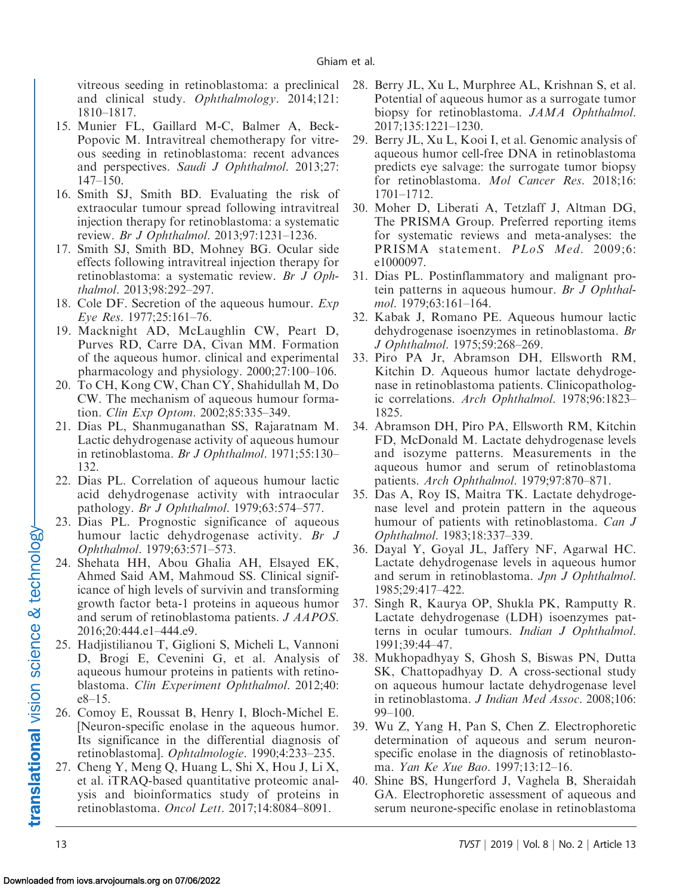<span id="page-12-0"></span>vitreous seeding in retinoblastoma: a preclinical and clinical study. Ophthalmology. 2014;121: 1810–1817.

- 15. Munier FL, Gaillard M-C, Balmer A, Beck-Popovic M. Intravitreal chemotherapy for vitreous seeding in retinoblastoma: recent advances and perspectives. Saudi J Ophthalmol. 2013;27: 147–150.
- 16. Smith SJ, Smith BD. Evaluating the risk of extraocular tumour spread following intravitreal injection therapy for retinoblastoma: a systematic review. Br J Ophthalmol. 2013;97:1231–1236.
- 17. Smith SJ, Smith BD, Mohney BG. Ocular side effects following intravitreal injection therapy for retinoblastoma: a systematic review. Br J Ophthalmol. 2013;98:292–297.
- 18. Cole DF. Secretion of the aqueous humour. Exp Eye Res. 1977;25:161–76.
- 19. Macknight AD, McLaughlin CW, Peart D, Purves RD, Carre DA, Civan MM. Formation of the aqueous humor. clinical and experimental pharmacology and physiology. 2000;27:100–106.
- 20. To CH, Kong CW, Chan CY, Shahidullah M, Do CW. The mechanism of aqueous humour formation. Clin Exp Optom. 2002;85:335–349.
- 21. Dias PL, Shanmuganathan SS, Rajaratnam M. Lactic dehydrogenase activity of aqueous humour in retinoblastoma. Br J Ophthalmol. 1971;55:130– 132.
- 22. Dias PL. Correlation of aqueous humour lactic acid dehydrogenase activity with intraocular pathology. Br J Ophthalmol. 1979;63:574–577.
- 23. Dias PL. Prognostic significance of aqueous humour lactic dehydrogenase activity. Br J Ophthalmol. 1979;63:571–573.
- 24. Shehata HH, Abou Ghalia AH, Elsayed EK, Ahmed Said AM, Mahmoud SS. Clinical significance of high levels of survivin and transforming growth factor beta-1 proteins in aqueous humor and serum of retinoblastoma patients. J AAPOS. 2016;20:444.e1–444.e9.
- 25. Hadjistilianou T, Giglioni S, Micheli L, Vannoni D, Brogi E, Cevenini G, et al. Analysis of aqueous humour proteins in patients with retinoblastoma. Clin Experiment Ophthalmol. 2012;40: e8–15.
- 26. Comoy E, Roussat B, Henry I, Bloch-Michel E. [Neuron-specific enolase in the aqueous humor. Its significance in the differential diagnosis of retinoblastoma]. Ophtalmologie. 1990;4:233–235.
- 27. Cheng Y, Meng Q, Huang L, Shi X, Hou J, Li X, et al. iTRAQ-based quantitative proteomic analysis and bioinformatics study of proteins in retinoblastoma. Oncol Lett. 2017;14:8084–8091.
- 28. Berry JL, Xu L, Murphree AL, Krishnan S, et al. Potential of aqueous humor as a surrogate tumor biopsy for retinoblastoma. JAMA Ophthalmol. 2017;135:1221–1230.
- 29. Berry JL, Xu L, Kooi I, et al. Genomic analysis of aqueous humor cell-free DNA in retinoblastoma predicts eye salvage: the surrogate tumor biopsy for retinoblastoma. Mol Cancer Res. 2018;16: 1701–1712.
- 30. Moher D, Liberati A, Tetzlaff J, Altman DG, The PRISMA Group. Preferred reporting items for systematic reviews and meta-analyses: the PRISMA statement. PLoS Med. 2009;6: e1000097.
- 31. Dias PL. Postinflammatory and malignant protein patterns in aqueous humour. Br J Ophthalmol. 1979;63:161–164.
- 32. Kabak J, Romano PE. Aqueous humour lactic dehydrogenase isoenzymes in retinoblastoma. Br J Ophthalmol. 1975;59:268–269.
- 33. Piro PA Jr, Abramson DH, Ellsworth RM, Kitchin D. Aqueous humor lactate dehydrogenase in retinoblastoma patients. Clinicopathologic correlations. Arch Ophthalmol. 1978;96:1823– 1825.
- 34. Abramson DH, Piro PA, Ellsworth RM, Kitchin FD, McDonald M. Lactate dehydrogenase levels and isozyme patterns. Measurements in the aqueous humor and serum of retinoblastoma patients. Arch Ophthalmol. 1979;97:870–871.
- 35. Das A, Roy IS, Maitra TK. Lactate dehydrogenase level and protein pattern in the aqueous humour of patients with retinoblastoma. Can J Ophthalmol. 1983;18:337–339.
- 36. Dayal Y, Goyal JL, Jaffery NF, Agarwal HC. Lactate dehydrogenase levels in aqueous humor and serum in retinoblastoma. Jpn J Ophthalmol. 1985;29:417–422.
- 37. Singh R, Kaurya OP, Shukla PK, Ramputty R. Lactate dehydrogenase (LDH) isoenzymes patterns in ocular tumours. Indian J Ophthalmol. 1991;39:44–47.
- 38. Mukhopadhyay S, Ghosh S, Biswas PN, Dutta SK, Chattopadhyay D. A cross-sectional study on aqueous humour lactate dehydrogenase level in retinoblastoma. J Indian Med Assoc. 2008;106: 99–100.
- 39. Wu Z, Yang H, Pan S, Chen Z. Electrophoretic determination of aqueous and serum neuronspecific enolase in the diagnosis of retinoblastoma. Yan Ke Xue Bao. 1997;13:12–16.
- 40. Shine BS, Hungerford J, Vaghela B, Sheraidah GA. Electrophoretic assessment of aqueous and serum neurone-specific enolase in retinoblastoma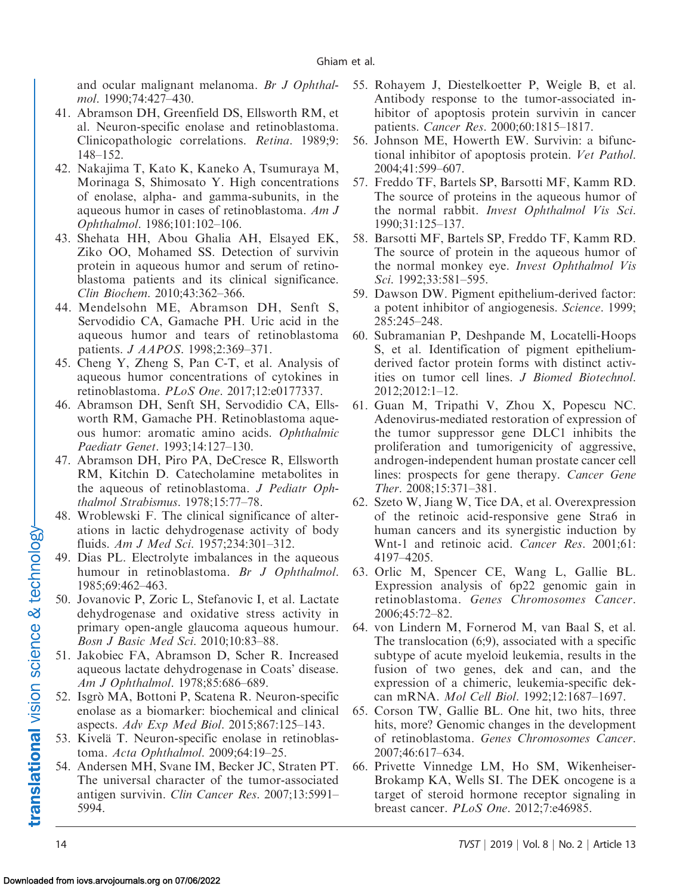<span id="page-13-0"></span>and ocular malignant melanoma. Br J Ophthalmol. 1990;74:427–430.

- 41. Abramson DH, Greenfield DS, Ellsworth RM, et al. Neuron-specific enolase and retinoblastoma. Clinicopathologic correlations. Retina. 1989;9: 148–152.
- 42. Nakajima T, Kato K, Kaneko A, Tsumuraya M, Morinaga S, Shimosato Y. High concentrations of enolase, alpha- and gamma-subunits, in the aqueous humor in cases of retinoblastoma. Am J Ophthalmol. 1986;101:102–106.
- 43. Shehata HH, Abou Ghalia AH, Elsayed EK, Ziko OO, Mohamed SS. Detection of survivin protein in aqueous humor and serum of retinoblastoma patients and its clinical significance. Clin Biochem. 2010;43:362–366.
- 44. Mendelsohn ME, Abramson DH, Senft S, Servodidio CA, Gamache PH. Uric acid in the aqueous humor and tears of retinoblastoma patients. J AAPOS. 1998;2:369–371.
- 45. Cheng Y, Zheng S, Pan C-T, et al. Analysis of aqueous humor concentrations of cytokines in retinoblastoma. PLoS One. 2017;12:e0177337.
- 46. Abramson DH, Senft SH, Servodidio CA, Ellsworth RM, Gamache PH. Retinoblastoma aqueous humor: aromatic amino acids. Ophthalmic Paediatr Genet. 1993;14:127–130.
- 47. Abramson DH, Piro PA, DeCresce R, Ellsworth RM, Kitchin D. Catecholamine metabolites in the aqueous of retinoblastoma. J Pediatr Ophthalmol Strabismus. 1978;15:77–78.
- 48. Wroblewski F. The clinical significance of alterations in lactic dehydrogenase activity of body fluids. Am J Med Sci. 1957;234:301–312.
- 49. Dias PL. Electrolyte imbalances in the aqueous humour in retinoblastoma. Br J Ophthalmol. 1985;69:462–463.
- 50. Jovanovic P, Zoric L, Stefanovic I, et al. Lactate dehydrogenase and oxidative stress activity in primary open-angle glaucoma aqueous humour. Bosn J Basic Med Sci. 2010;10:83–88.
- 51. Jakobiec FA, Abramson D, Scher R. Increased aqueous lactate dehydrogenase in Coats' disease. Am J Ophthalmol. 1978;85:686–689.
- 52. Isgrò MA, Bottoni P, Scatena R. Neuron-specific enolase as a biomarker: biochemical and clinical aspects. Adv Exp Med Biol. 2015;867:125–143.
- 53. Kivelä T. Neuron-specific enolase in retinoblastoma. Acta Ophthalmol. 2009;64:19–25.
- 54. Andersen MH, Svane IM, Becker JC, Straten PT. The universal character of the tumor-associated antigen survivin. Clin Cancer Res. 2007;13:5991– 5994.
- 55. Rohayem J, Diestelkoetter P, Weigle B, et al. Antibody response to the tumor-associated inhibitor of apoptosis protein survivin in cancer patients. Cancer Res. 2000;60:1815–1817.
- 56. Johnson ME, Howerth EW. Survivin: a bifunctional inhibitor of apoptosis protein. Vet Pathol. 2004;41:599–607.
- 57. Freddo TF, Bartels SP, Barsotti MF, Kamm RD. The source of proteins in the aqueous humor of the normal rabbit. Invest Ophthalmol Vis Sci. 1990;31:125–137.
- 58. Barsotti MF, Bartels SP, Freddo TF, Kamm RD. The source of protein in the aqueous humor of the normal monkey eye. Invest Ophthalmol Vis Sci. 1992;33:581–595.
- 59. Dawson DW. Pigment epithelium-derived factor: a potent inhibitor of angiogenesis. Science. 1999; 285:245–248.
- 60. Subramanian P, Deshpande M, Locatelli-Hoops S, et al. Identification of pigment epitheliumderived factor protein forms with distinct activities on tumor cell lines. J Biomed Biotechnol. 2012;2012:1–12.
- 61. Guan M, Tripathi V, Zhou X, Popescu NC. Adenovirus-mediated restoration of expression of the tumor suppressor gene DLC1 inhibits the proliferation and tumorigenicity of aggressive, androgen-independent human prostate cancer cell lines: prospects for gene therapy. Cancer Gene Ther. 2008;15:371–381.
- 62. Szeto W, Jiang W, Tice DA, et al. Overexpression of the retinoic acid-responsive gene Stra6 in human cancers and its synergistic induction by Wnt-1 and retinoic acid. Cancer Res. 2001;61: 4197–4205.
- 63. Orlic M, Spencer CE, Wang L, Gallie BL. Expression analysis of 6p22 genomic gain in retinoblastoma. Genes Chromosomes Cancer. 2006;45:72–82.
- 64. von Lindern M, Fornerod M, van Baal S, et al. The translocation (6;9), associated with a specific subtype of acute myeloid leukemia, results in the fusion of two genes, dek and can, and the expression of a chimeric, leukemia-specific dekcan mRNA. Mol Cell Biol. 1992;12:1687–1697.
- 65. Corson TW, Gallie BL. One hit, two hits, three hits, more? Genomic changes in the development of retinoblastoma. Genes Chromosomes Cancer. 2007;46:617–634.
- 66. Privette Vinnedge LM, Ho SM, Wikenheiser-Brokamp KA, Wells SI. The DEK oncogene is a target of steroid hormone receptor signaling in breast cancer. PLoS One. 2012;7:e46985.

translational vision science & technology